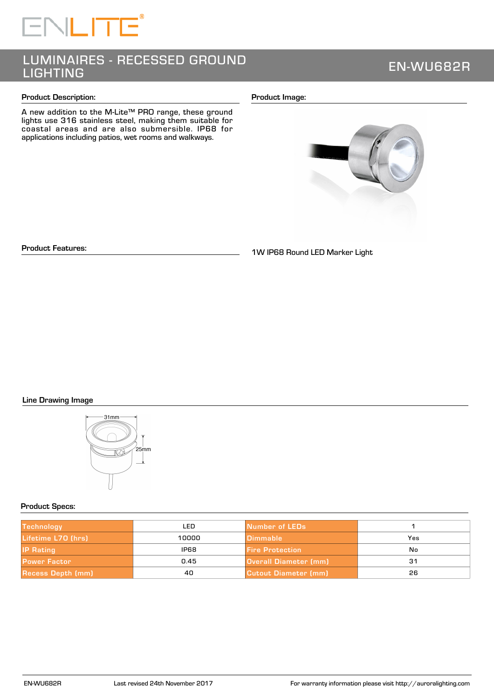# LUMINAIRES - RECESSED GROUND LIGHTING EN-WU682R

#### **Product Description:**

A new addition to the M-Lite™ PRO range, these ground lights use 316 stainless steel, making them suitable for coastal areas and are also submersible. IP68 for applications including patios, wet rooms and walkways.

#### **Product Image:**



**Product Features:**

1W IP68 Round LED Marker Light

# **Line Drawing Image**



## **Product Specs:**

| <b>Technology</b>        | LED.        | Number of LEDs               |     |
|--------------------------|-------------|------------------------------|-----|
| Lifetime L70 (hrs)       | 10000       | <b>Dimmable</b>              | Yes |
| <b>IP Rating</b>         | <b>IP68</b> | <b>Fire Protection</b>       | Nο  |
| <b>Power Factor</b>      | 0.45        | <b>Overall Diameter (mm)</b> | 31  |
| <b>Recess Depth (mm)</b> | 40          | Cutout Diameter (mm)         | 26  |